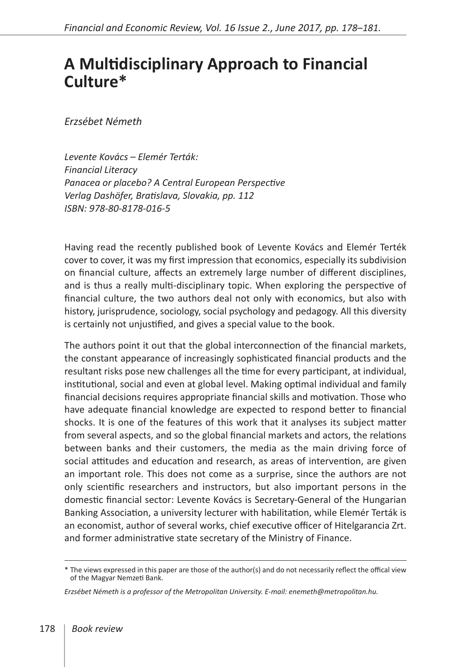## **A Multidisciplinary Approach to Financial Culture\***

*Erzsébet Németh*

*Levente Kovács – Elemér Terták: Financial Literacy Panacea or placebo? A Central European Perspective Verlag Dashöfer, Bratislava, Slovakia, pp. 112 ISBN: 978-80-8178-016-5*

Having read the recently published book of Levente Kovács and Elemér Terték cover to cover, it was my first impression that economics, especially its subdivision on financial culture, affects an extremely large number of different disciplines, and is thus a really multi-disciplinary topic. When exploring the perspective of financial culture, the two authors deal not only with economics, but also with history, jurisprudence, sociology, social psychology and pedagogy. All this diversity is certainly not unjustified, and gives a special value to the book.

The authors point it out that the global interconnection of the financial markets, the constant appearance of increasingly sophisticated financial products and the resultant risks pose new challenges all the time for every participant, at individual, institutional, social and even at global level. Making optimal individual and family financial decisions requires appropriate financial skills and motivation. Those who have adequate financial knowledge are expected to respond better to financial shocks. It is one of the features of this work that it analyses its subject matter from several aspects, and so the global financial markets and actors, the relations between banks and their customers, the media as the main driving force of social attitudes and education and research, as areas of intervention, are given an important role. This does not come as a surprise, since the authors are not only scientific researchers and instructors, but also important persons in the domestic financial sector: Levente Kovács is Secretary-General of the Hungarian Banking Association, a university lecturer with habilitation, while Elemér Terták is an economist, author of several works, chief executive officer of Hitelgarancia Zrt. and former administrative state secretary of the Ministry of Finance.

<sup>\*</sup> The views expressed in this paper are those of the author(s) and do not necessarily reflect the offical view of the Magyar Nemzeti Bank.

*Erzsébet Németh is a professor of the Metropolitan University. E-mail: enemeth@metropolitan.hu.*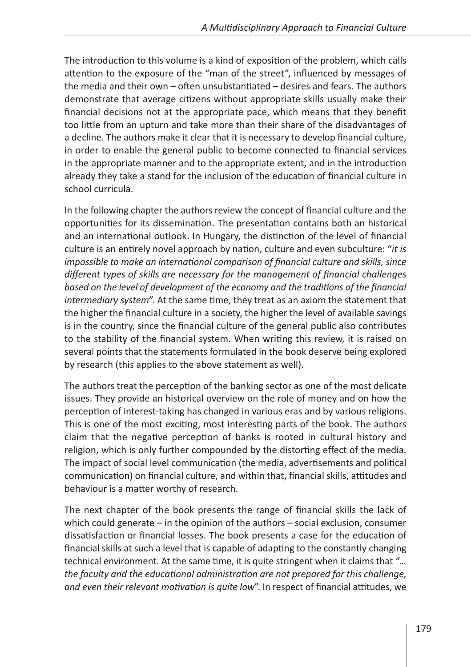The introduction to this volume is a kind of exposition of the problem, which calls attention to the exposure of the "man of the street", influenced by messages of the media and their own – often unsubstantiated – desires and fears. The authors demonstrate that average citizens without appropriate skills usually make their financial decisions not at the appropriate pace, which means that they benefit too little from an upturn and take more than their share of the disadvantages of a decline. The authors make it clear that it is necessary to develop financial culture, in order to enable the general public to become connected to financial services in the appropriate manner and to the appropriate extent, and in the introduction already they take a stand for the inclusion of the education of financial culture in school curricula.

In the following chapter the authors review the concept of financial culture and the opportunities for its dissemination. The presentation contains both an historical and an international outlook. In Hungary, the distinction of the level of financial culture is an entirely novel approach by nation, culture and even subculture: "*it is impossible to make an international comparison of financial culture and skills, since different types of skills are necessary for the management of financial challenges*  based on the level of development of the economy and the traditions of the financial *intermediary system*". At the same time, they treat as an axiom the statement that the higher the financial culture in a society, the higher the level of available savings is in the country, since the financial culture of the general public also contributes to the stability of the financial system. When writing this review, it is raised on several points that the statements formulated in the book deserve being explored by research (this applies to the above statement as well).

The authors treat the perception of the banking sector as one of the most delicate issues. They provide an historical overview on the role of money and on how the perception of interest-taking has changed in various eras and by various religions. This is one of the most exciting, most interesting parts of the book. The authors claim that the negative perception of banks is rooted in cultural history and religion, which is only further compounded by the distorting effect of the media. The impact of social level communication (the media, advertisements and political communication) on financial culture, and within that, financial skills, attitudes and behaviour is a matter worthy of research.

The next chapter of the book presents the range of financial skills the lack of which could generate – in the opinion of the authors – social exclusion, consumer dissatisfaction or financial losses. The book presents a case for the education of financial skills at such a level that is capable of adapting to the constantly changing technical environment. At the same time, it is quite stringent when it claims that *"… the faculty and the educational administration are not prepared for this challenge, and even their relevant motivation is quite low*". In respect of financial attitudes, we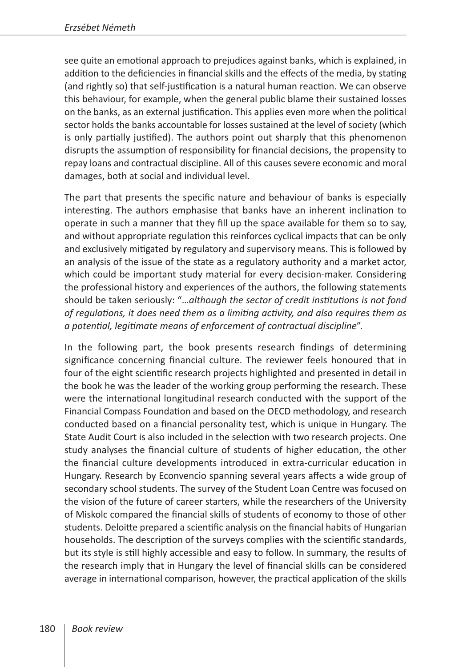see quite an emotional approach to prejudices against banks, which is explained, in addition to the deficiencies in financial skills and the effects of the media, by stating (and rightly so) that self-justification is a natural human reaction. We can observe this behaviour, for example, when the general public blame their sustained losses on the banks, as an external justification. This applies even more when the political sector holds the banks accountable for losses sustained at the level of society (which is only partially justified). The authors point out sharply that this phenomenon disrupts the assumption of responsibility for financial decisions, the propensity to repay loans and contractual discipline. All of this causes severe economic and moral damages, both at social and individual level.

The part that presents the specific nature and behaviour of banks is especially interesting. The authors emphasise that banks have an inherent inclination to operate in such a manner that they fill up the space available for them so to say, and without appropriate regulation this reinforces cyclical impacts that can be only and exclusively mitigated by regulatory and supervisory means. This is followed by an analysis of the issue of the state as a regulatory authority and a market actor, which could be important study material for every decision-maker. Considering the professional history and experiences of the authors, the following statements should be taken seriously: "…*although the sector of credit institutions is not fond of regulations, it does need them as a limiting activity, and also requires them as a potential, legitimate means of enforcement of contractual discipline*".

In the following part, the book presents research findings of determining significance concerning financial culture. The reviewer feels honoured that in four of the eight scientific research projects highlighted and presented in detail in the book he was the leader of the working group performing the research. These were the international longitudinal research conducted with the support of the Financial Compass Foundation and based on the OECD methodology, and research conducted based on a financial personality test, which is unique in Hungary. The State Audit Court is also included in the selection with two research projects. One study analyses the financial culture of students of higher education, the other the financial culture developments introduced in extra-curricular education in Hungary. Research by Econvencio spanning several years affects a wide group of secondary school students. The survey of the Student Loan Centre was focused on the vision of the future of career starters, while the researchers of the University of Miskolc compared the financial skills of students of economy to those of other students. Deloitte prepared a scientific analysis on the financial habits of Hungarian households. The description of the surveys complies with the scientific standards, but its style is still highly accessible and easy to follow. In summary, the results of the research imply that in Hungary the level of financial skills can be considered average in international comparison, however, the practical application of the skills